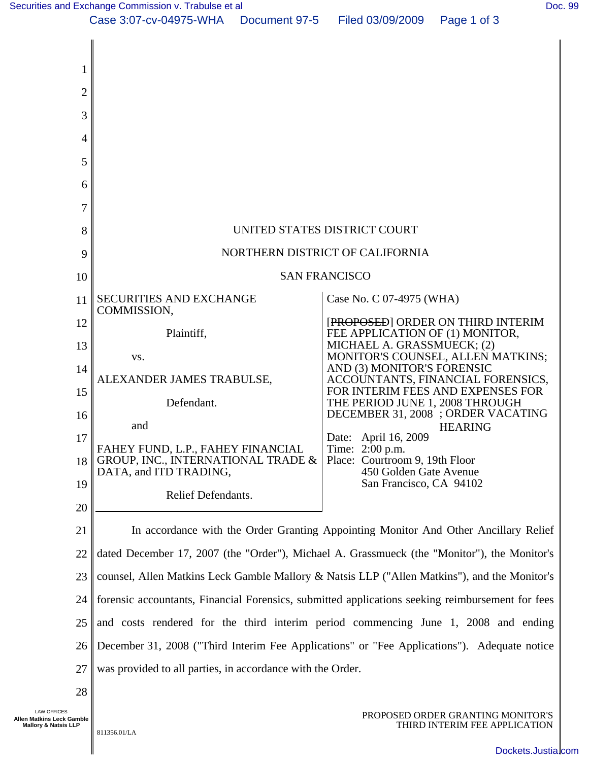[Securities and Exchange Commission v. Trabulse et al](http://dockets.justia.com/docket/california/candce/3:2007cv04975/196154/) **[Doc. 99](http://docs.justia.com/cases/federal/district-courts/california/candce/3:2007cv04975/196154/99/)** Note that the state of all properties and Exchange Commission v. Trabulse et al



LAW OFFICES **Allen Matkins Leck Gamble Mallory & Natsis LLP** 

PROPOSED ORDER GRANTING MONITOR'S THIRD INTERIM FEE APPLICATION

[Dockets.Justia.com](http://dockets.justia.com/)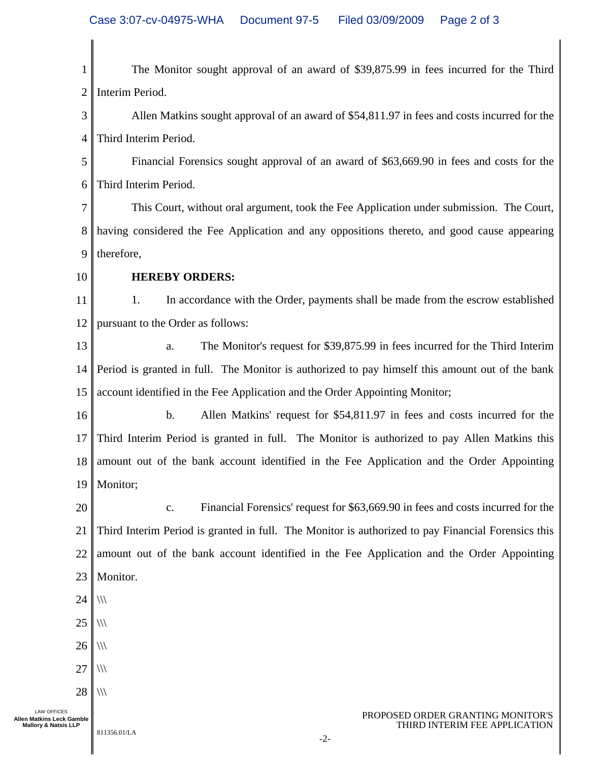1 2 3 4 5 6 7 8 9 10 11 12 13 14 15 16 17 18 19 20 21 22 23 24 25 26 27 28 PROPOSED ORDER GRANTING MONITOR'S **Allen Matkins Leck Gamble** The Monitor sought approval of an award of \$39,875.99 in fees incurred for the Third Interim Period. Allen Matkins sought approval of an award of \$54,811.97 in fees and costs incurred for the Third Interim Period. Financial Forensics sought approval of an award of \$63,669.90 in fees and costs for the Third Interim Period. This Court, without oral argument, took the Fee Application under submission. The Court, having considered the Fee Application and any oppositions thereto, and good cause appearing therefore, **HEREBY ORDERS:**  1. In accordance with the Order, payments shall be made from the escrow established pursuant to the Order as follows: a. The Monitor's request for \$39,875.99 in fees incurred for the Third Interim Period is granted in full. The Monitor is authorized to pay himself this amount out of the bank account identified in the Fee Application and the Order Appointing Monitor; b. Allen Matkins' request for \$54,811.97 in fees and costs incurred for the Third Interim Period is granted in full. The Monitor is authorized to pay Allen Matkins this amount out of the bank account identified in the Fee Application and the Order Appointing Monitor; c. Financial Forensics' request for \$63,669.90 in fees and costs incurred for the Third Interim Period is granted in full. The Monitor is authorized to pay Financial Forensics this amount out of the bank account identified in the Fee Application and the Order Appointing Monitor.  $\langle$  $\langle$  $\langle$  $\langle$  $\frac{1}{2}$ 

-2-

811356.01/LA **Mallory & Natsis LLP** 

LAW OFFICES